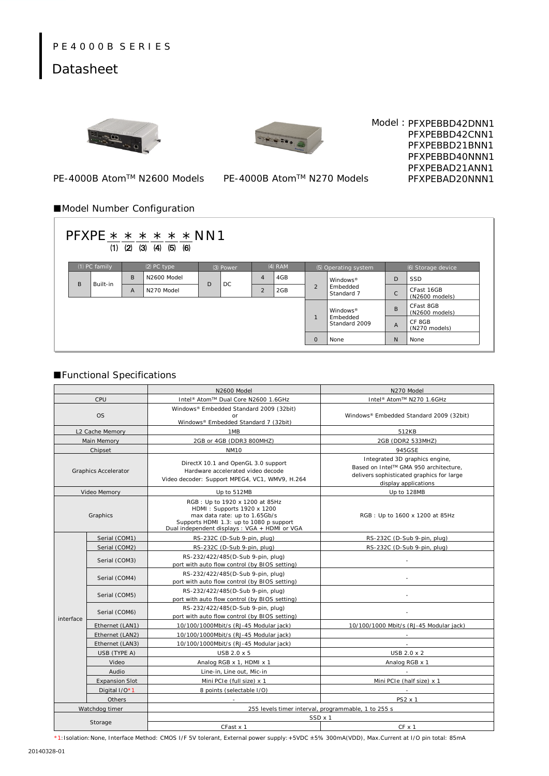## P E 4 0 0 0 B S E R I E S

# Datasheet





Model: PFXPEBBD42DNN1 PFXPEBBD42CNN1 PFXPEBBD21BNN1 PFXPEBBD40NNN1 PFXPEBAD21ANN1 PFXPEBAD20NNN1

PE-4000B Atom™ N2600 Models

#### PE-4000B Atom™ N270 Models

### ■Model Number Configuration

| $PFXPE * * * * * * NN1$<br>$(1)$ $(2)$ $(3)$ $(4)$ $(5)$<br>(6) |                 |          |   |               |   |           |                |           |                |                                                |                |                              |  |
|-----------------------------------------------------------------|-----------------|----------|---|---------------|---|-----------|----------------|-----------|----------------|------------------------------------------------|----------------|------------------------------|--|
|                                                                 | $(1)$ PC family |          |   | $(2)$ PC type |   | (3) Power |                | $(4)$ RAM |                | (5) Operating system                           |                | (6) Storage device           |  |
|                                                                 | B               | Built-in | B | N2600 Model   | D | DC.       | $\overline{4}$ | 4GB       | $\overline{2}$ | Windows <sup>®</sup><br>Embedded<br>Standard 7 | D              | SSD                          |  |
|                                                                 |                 |          | A | N270 Model    |   |           | $\overline{2}$ | 2GB       |                |                                                | $\mathsf{C}$   | CFast 16GB<br>(N2600 models) |  |
|                                                                 |                 |          |   |               |   |           |                |           |                | Windows <sup>®</sup>                           | <sub>B</sub>   | CFast 8GB<br>(N2600 models)  |  |
|                                                                 |                 |          |   |               |   |           |                |           | $\blacksquare$ | Embedded<br>Standard 2009                      | $\overline{A}$ | CF 8GB<br>(N270 models)      |  |
|                                                                 |                 |          |   |               |   |           |                |           | $\mathbf{O}$   | None                                           | N              | None                         |  |

### ■Functional Specifications

|              |                             | N2600 Model                                                                                                                                                                              | N270 Model                                                                                                                                   |  |  |  |  |
|--------------|-----------------------------|------------------------------------------------------------------------------------------------------------------------------------------------------------------------------------------|----------------------------------------------------------------------------------------------------------------------------------------------|--|--|--|--|
|              | CPU                         | Intel <sup>®</sup> Atom™ Dual Core N2600 1.6GHz                                                                                                                                          | Intel <sup>®</sup> Atom™ N270 1.6GHz                                                                                                         |  |  |  |  |
|              |                             | Windows® Embedded Standard 2009 (32bit)                                                                                                                                                  | Windows® Embedded Standard 2009 (32bit)<br>512KB                                                                                             |  |  |  |  |
|              | <b>OS</b>                   |                                                                                                                                                                                          |                                                                                                                                              |  |  |  |  |
|              | L2 Cache Memory             | Windows® Embedded Standard 7 (32bit)<br>1MB                                                                                                                                              |                                                                                                                                              |  |  |  |  |
|              | Main Memory                 | 2GB or 4GB (DDR3 800MHZ)                                                                                                                                                                 | 2GB (DDR2 533MHZ)                                                                                                                            |  |  |  |  |
|              | Chipset                     | <b>NM10</b>                                                                                                                                                                              | 945GSE                                                                                                                                       |  |  |  |  |
|              | <b>Graphics Accelerator</b> | DirectX 10.1 and OpenGL 3.0 support<br>Hardware accelerated video decode<br>Video decoder: Support MPEG4, VC1, WMV9, H.264                                                               | Integrated 3D graphics engine,<br>Based on Intel™ GMA 950 architecture,<br>delivers sophisticated graphics for large<br>display applications |  |  |  |  |
| Video Memory |                             | Up to 512MB                                                                                                                                                                              | Up to 128MB                                                                                                                                  |  |  |  |  |
|              | Graphics                    | RGB: Up to 1920 x 1200 at 85Hz<br>HDMI: Supports 1920 x 1200<br>max data rate: up to 1.65Gb/s<br>Supports HDMI 1.3: up to 1080 p support<br>Dual independent displays: VGA + HDMI or VGA | RGB: Up to 1600 x 1200 at 85Hz                                                                                                               |  |  |  |  |
|              | Serial (COM1)               | RS-232C (D-Sub 9-pin, plug)                                                                                                                                                              | RS-232C (D-Sub 9-pin, plug)                                                                                                                  |  |  |  |  |
|              | Serial (COM2)               | RS-232C (D-Sub 9-pin, plug)                                                                                                                                                              | RS-232C (D-Sub 9-pin, plug)                                                                                                                  |  |  |  |  |
|              | Serial (COM3)               | RS-232/422/485(D-Sub 9-pin, plug)<br>port with auto flow control (by BIOS setting)                                                                                                       |                                                                                                                                              |  |  |  |  |
|              | Serial (COM4)               | RS-232/422/485(D-Sub 9-pin, plug)<br>port with auto flow control (by BIOS setting)                                                                                                       |                                                                                                                                              |  |  |  |  |
|              | Serial (COM5)               | RS-232/422/485(D-Sub 9-pin, plug)<br>port with auto flow control (by BIOS setting)                                                                                                       |                                                                                                                                              |  |  |  |  |
| interface    | Serial (COM6)               | RS-232/422/485(D-Sub 9-pin, plug)<br>port with auto flow control (by BIOS setting)                                                                                                       |                                                                                                                                              |  |  |  |  |
|              | Ethernet (LAN1)             | 10/100/1000Mbit/s (RJ-45 Modular jack)                                                                                                                                                   | 10/100/1000 Mbit/s (RJ-45 Modular jack)                                                                                                      |  |  |  |  |
|              | Ethernet (LAN2)             | 10/100/1000Mbit/s (RJ-45 Modular jack)                                                                                                                                                   |                                                                                                                                              |  |  |  |  |
|              | Ethernet (LAN3)             | 10/100/1000Mbit/s (RJ-45 Modular jack)                                                                                                                                                   |                                                                                                                                              |  |  |  |  |
|              | USB (TYPE A)                | USB 2.0 x 5                                                                                                                                                                              | USB 2.0 x 2                                                                                                                                  |  |  |  |  |
|              | Video                       | Analog RGB x 1, HDMI x 1                                                                                                                                                                 | Analog RGB x 1                                                                                                                               |  |  |  |  |
|              | Audio                       | Line-in, Line out, Mic-in                                                                                                                                                                |                                                                                                                                              |  |  |  |  |
|              | <b>Expansion Slot</b>       | Mini PCIe (full size) x 1                                                                                                                                                                | Mini PCIe (half size) x 1                                                                                                                    |  |  |  |  |
|              | Digital I/O*1               | 8 points (selectable I/O)                                                                                                                                                                |                                                                                                                                              |  |  |  |  |
|              | Others                      |                                                                                                                                                                                          | PS2 x 1                                                                                                                                      |  |  |  |  |
|              | Watchdog timer              | 255 levels timer interval, programmable, 1 to 255 s                                                                                                                                      |                                                                                                                                              |  |  |  |  |
|              |                             | SSD x 1                                                                                                                                                                                  |                                                                                                                                              |  |  |  |  |
|              | Storage                     | CFast x 1                                                                                                                                                                                | $CF \times 1$                                                                                                                                |  |  |  |  |

\*1:Isolation:None, Interface Method: CMOS I/F 5V tolerant, External power supply:+5VDC ±5% 300mA(VDD), Max.Current at I/O pin total: 85mA